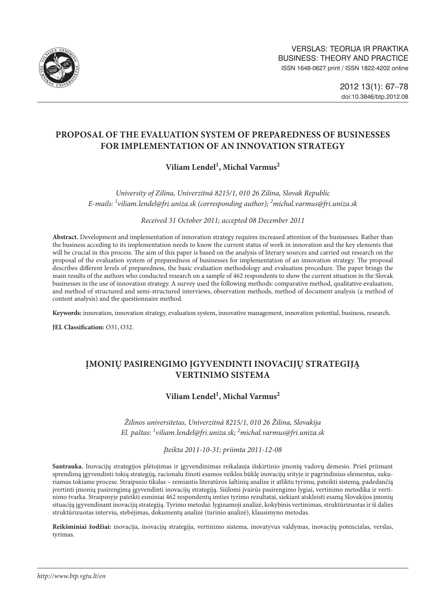

# **PROPOSAL OF THE EVALUATION SYSTEM OF PREPAREDNESS OF BUSINESSES FOR IMPLEMENTATION OF AN INNOVATION STRATEGY**

# **Viliam Lendel1 , Michal Varmus2**

*University of Zilina, Univerzitná 8215/1, 010 26 Zilina, Slovak Republic E-mails: <sup>1</sup> [viliam.lendel@fri.uniza.sk](mailto:1viliam.lendel@fri.uniza.sk) (corresponding author); 2 [michal.varmus@fri.uniza.sk](mailto:2michal.varmus@fri.uniza.sk)*

*Received 31 October 2011; accepted 08 December 2011*

**Abstract.** Development and implementation of innovation strategy requires increased attention of the businesses. Rather than the business acceding to its implementation needs to know the current status of work in innovation and the key elements that will be crucial in this process. The aim of this paper is based on the analysis of literary sources and carried out research on the proposal of the evaluation system of preparedness of businesses for implementation of an innovation strategy. The proposal describes different levels of preparedness, the basic evaluation methodology and evaluation procedure. The paper brings the main results of the authors who conducted research on a sample of 462 respondents to show the current situation in the Slovak businesses in the use of innovation strategy. A survey used the following methods: comparative method, qualitative evaluation, and method of structured and semi-structured interviews, observation methods, method of document analysis (a method of content analysis) and the questionnaire method.

**Keywords:** innovation, innovation strategy, evaluation system, innovative management, innovation potential, business, research.

**JEL Classification:** O31, O32.

# **Įmonių pasirengimo įgyvendinti inovacijų strategiją vertinimo sistema**

# $Viliam Lendel<sup>1</sup>$ , Michal Varmus<sup>2</sup>

*Žilinos universitetas, Univerzitná 8215/1, 010 26 Žilina, Slovakija El. paštas: <sup>1</sup> viliam.lendel@fri.uniza.sk; 2 michal.varmus@fri.uniza.sk*

*Įteikta 2011-10-31; priimta 2011-12-08*

**Santrauka.** Inovacijų strategijos plėtojimas ir įgyvendinimas reikalauja išskirtinio įmonių vadovų dėmesio. Prieš priimant sprendimą įgyvendinti tokią strategiją, racionalu žinoti esamos veiklos būklę inovacijų srityje ir pagrindinius elementus, sukuriamus tokiame procese. Straipsnio tikslas – remiantis literatūros šaltinių analize ir atliktu tyrimu, pateikti sistemą, padedančią įvertinti įmonių pasirengimą įgyvendinti inovacijų strategiją. Siūlomi įvairūs pasirengimo lygiai, vertinimo metodika ir vertinimo tvarka. Straipsnyje pateikti esminiai 462 respondentų imties tyrimo rezultatai, siekiant atskleisti esamą Slovakijos įmonių situaciją įgyvendinant inovacijų strategiją. Tyrimo metodai: lyginamoji analizė, kokybinis vertinimas, struktūrizuotas ir iš dalies struktūrizuotas interviu, stebėjimas, dokumentų analizė (turinio analizė), klausimyno metodas.

**Reikšminiai žodžiai:** inovacija, inovacijų strategija, vertinimo sistema, inovatyvus valdymas, inovacijų potencialas, verslas, tyrimas.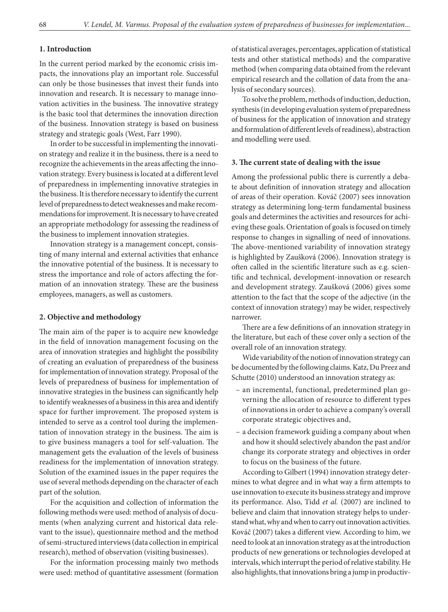### **1. Introduction**

In the current period marked by the economic crisis impacts, the innovations play an important role. Successful can only be those businesses that invest their funds into innovation and research. It is necessary to manage innovation activities in the business. The innovative strategy is the basic tool that determines the innovation direction of the business. Innovation strategy is based on business strategy and strategic goals (West, Farr 1990).

In order to be successful in implementing the innovation strategy and realize it in the business, there is a need to recognize the achievements in the areas affecting the innovation strategy. Every business is located at a different level of preparedness in implementing innovative strategies in the business. It is therefore necessary to identify the current level of preparedness to detect weaknesses and make recommendations for improvement. It is necessary to have created an appropriate methodology for assessing the readiness of the business to implement innovation strategies.

Innovation strategy is a management concept, consisting of many internal and external activities that enhance the innovative potential of the business. It is necessary to stress the importance and role of actors affecting the formation of an innovation strategy. These are the business employees, managers, as well as customers.

#### **2. Objective and methodology**

The main aim of the paper is to acquire new knowledge in the field of innovation management focusing on the area of innovation strategies and highlight the possibility of creating an evaluation of preparedness of the business for implementation of innovation strategy. Proposal of the levels of preparedness of business for implementation of innovative strategies in the business can significantly help to identify weaknesses of a business in this area and identify space for further improvement. The proposed system is intended to serve as a control tool during the implementation of innovation strategy in the business. The aim is to give business managers a tool for self-valuation. The management gets the evaluation of the levels of business readiness for the implementation of innovation strategy. Solution of the examined issues in the paper requires the use of several methods depending on the character of each part of the solution.

For the acquisition and collection of information the following methods were used: method of analysis of documents (when analyzing current and historical data relevant to the issue), questionnaire method and the method of semi-structured interviews (data collection in empirical research), method of observation (visiting businesses).

For the information processing mainly two methods were used: method of quantitative assessment (formation of statistical averages, percentages, application of statistical tests and other statistical methods) and the comparative method (when comparing data obtained from the relevant empirical research and the collation of data from the analysis of secondary sources).

To solve the problem, methods of induction, deduction, synthesis (in developing evaluation system of preparedness of business for the application of innovation and strategy and formulation of different levels of readiness), abstraction and modelling were used.

#### **3. The current state of dealing with the issue**

Among the professional public there is currently a debate about definition of innovation strategy and allocation of areas of their operation. Kováč (2007) sees innovation strategy as determining long-term fundamental business goals and determines the activities and resources for achieving these goals. Orientation of goals is focused on timely response to changes in signalling of need of innovations. The above-mentioned variability of innovation strategy is highlighted by Zaušková (2006). Innovation strategy is often called in the scientific literature such as e.g. scientific and technical, development-innovation or research and development strategy. Zaušková (2006) gives some attention to the fact that the scope of the adjective (in the context of innovation strategy) may be wider, respectively narrower.

There are a few definitions of an innovation strategy in the literature, but each of these cover only a section of the overall role of an innovation strategy.

Wide variability of the notion of innovation strategy can be documented by the following claims. Katz, Du Preez and Schutte (2010) understood an innovation strategy as:

- an incremental, functional, predetermined plan governing the allocation of resource to different types of innovations in order to achieve a company's overall corporate strategic objectives and,
- a decision framework guiding a company about when and how it should selectively abandon the past and/or change its corporate strategy and objectives in order to focus on the business of the future.

According to Gilbert (1994) innovation strategy determines to what degree and in what way a firm attempts to use innovation to execute its business strategy and improve its performance. Also, Tidd *et al.* (2007) are inclined to believe and claim that innovation strategy helps to understand what, why and when to carry out innovation activities. Kováč (2007) takes a different view. According to him, we need to look at an innovation strategy as at the introduction products of new generations or technologies developed at intervals, which interrupt the period of relative stability. He also highlights, that innovations bring a jump in productiv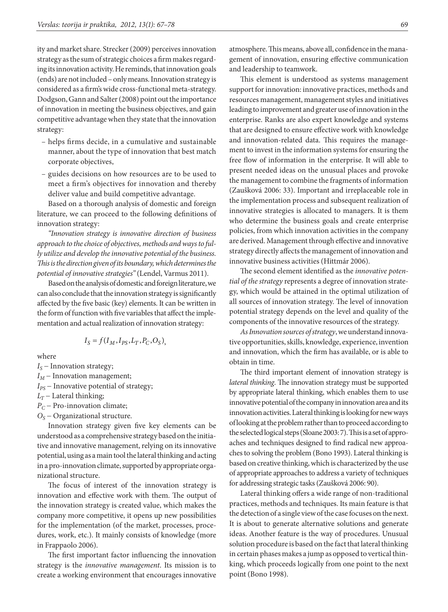ity and market share. Strecker (2009) perceives innovation strategy as the sum of strategic choices afirm makes regarding its innovation activity. He reminds, that innovation goals (ends) are not included – only means. Innovation strategy is considered as a firm's wide cross-functional meta-strategy. Dodgson, Gann and Salter (2008) point out the importance of innovation in meeting the business objectives, and gain competitive advantage when they state that the innovation strategy:

- helps firms decide, in a cumulative and sustainable manner, about the type of innovation that best match corporate objectives,
- guides decisions on how resources are to be used to meet a firm's objectives for innovation and thereby deliver value and build competitive advantage.

Based on a thorough analysis of domestic and foreign literature, we can proceed to the following definitions of innovation strategy:

*"Innovation strategy is innovative direction of business approach to the choice of objectives, methods and ways to fully utilize and develop the innovative potential of the business. This is the direction given of its boundary, which determines the potential of innovative strategies"* (Lendel, Varmus 2011).

Based on the analysis of domestic and foreign literature, we can also conclude that the innovation strategy is significantly affected by the five basic (key) elements. It can be written in the form of function with five variables that affect the implementation and actual realization of innovation strategy:

$$
I_S = f(I_M, I_{PS}, L_T, P_C, O_S),
$$

where

- *I<sub>S</sub>* − Innovation strategy;
- $I_M$  Innovation management;
- *I<sub>PS</sub>* − Innovative potential of strategy;
- $L_T$  Lateral thinking;
- *P<sub>C</sub>* − Pro-innovation climate;
- *OS* − Organizational structure.

Innovation strategy given five key elements can be understood as a comprehensive strategy based on the initiative and innovative management, relying on its innovative potential, using as a main tool the lateral thinking and acting in a pro-innovation climate, supported by appropriate organizational structure.

The focus of interest of the innovation strategy is innovation and effective work with them. The output of the innovation strategy is created value, which makes the company more competitive, it opens up new possibilities for the implementation (of the market, processes, procedures, work, etc.). It mainly consists of knowledge (more in Frappaolo 2006).

The first important factor influencing the innovation strategy is the *innovative management*. Its mission is to create a working environment that encourages innovative atmosphere. This means, above all, confidence in the management of innovation, ensuring effective communication and leadership to teamwork.

This element is understood as systems management support for innovation: innovative practices, methods and resources management, management styles and initiatives leading to improvement and greater use of innovation in the enterprise. Ranks are also expert knowledge and systems that are designed to ensure effective work with knowledge and innovation-related data. This requires the management to invest in the information systems for ensuring the free flow of information in the enterprise. It will able to present needed ideas on the unusual places and provoke the management to combine the fragments of information (Zaušková 2006: 33). Important and irreplaceable role in the implementation process and subsequent realization of innovative strategies is allocated to managers. It is them who determine the business goals and create enterprise policies, from which innovation activities in the company are derived. Management through effective and innovative strategy directly affects the management of innovation and innovative business activities (Hittmár 2006).

The second element identified as the *innovative potential of the strategy* represents a degree of innovation strategy, which would be attained in the optimal utilization of all sources of innovation strategy. The level of innovation potential strategy depends on the level and quality of the components of the innovative resources of the strategy.

*As Innovation sources of strategy*, we understand innovative opportunities, skills, knowledge, experience, invention and innovation, which the firm has available, or is able to obtain in time.

The third important element of innovation strategy is *lateral thinking*. The innovation strategy must be supported by appropriate lateral thinking, which enables them to use innovative potential of the company in innovation area and its innovation activities. Lateral thinking is looking for new ways of looking at the problem rather than to proceed according to the selected logical steps (Sloane 2003: 7). This is a set of approaches and techniques designed to find radical new approaches to solving the problem (Bono 1993). Lateral thinking is based on creative thinking, which is characterized by the use of appropriate approaches to address a variety of techniques for addressing strategic tasks (Zaušková 2006: 90).

Lateral thinking offers a wide range of non-traditional practices, methods and techniques. Its main feature is that the detection of a single view of the case focuses on the next. It is about to generate alternative solutions and generate ideas. Another feature is the way of procedures. Unusual solution procedure is based on the fact that lateral thinking in certain phases makes a jump as opposed to vertical thinking, which proceeds logically from one point to the next point (Bono 1998).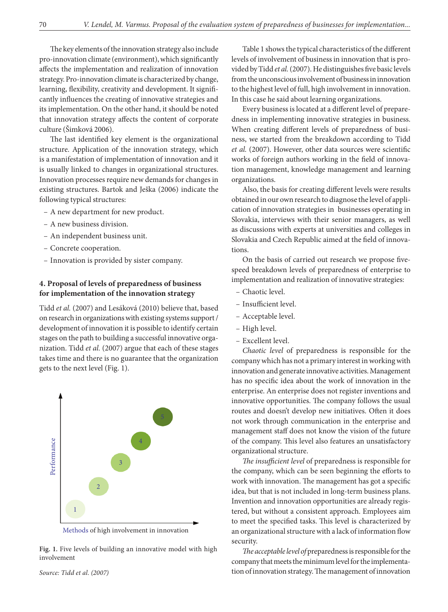The key elements of the innovation strategy also include pro-innovation climate (environment), which significantly affects the implementation and realization of innovation strategy. Pro-innovation climate is characterized by change, learning, flexibility, creativity and development. It significantly influences the creating of innovative strategies and its implementation. On the other hand, it should be noted that innovation strategy affects the content of corporate culture (Šimková 2006).

The last identified key element is the organizational structure. Application of the innovation strategy, which is a manifestation of implementation of innovation and it is usually linked to changes in organizational structures. Innovation processes require new demands for changes in existing structures. Bartok and Ješka (2006) indicate the following typical structures:

- A new department for new product.
- A new business division.
- An independent business unit.
- Concrete cooperation.
- Innovation is provided by sister company.

### **4. Proposal of levels of preparedness of business for implementation of the innovation strategy**

Tidd *et al.* (2007) and Lesáková (2010) believe that, based on research in organizations with existing systems support/ development of innovation it is possible to identify certain stages on the path to building a successful innovative organization. Tidd *et al.* (2007) argue that each of these stages takes time and there is no guarantee that the organization gets to the next level (Fig. 1).





**Fig. 1.** Five levels of building an innovative model with high involvement

Table 1 shows the typical characteristics of the different levels of involvement of business in innovation that is provided by Tidd *et al.* (2007). He distinguishes five basic levels from the unconscious involvement of business in innovation to the highest level of full, high involvement in innovation. In this case he said about learning organizations.

Every business is located at a different level of preparedness in implementing innovative strategies in business. When creating different levels of preparedness of business, we started from the breakdown according to Tidd *et al.* (2007). However, other data sources were scientific works of foreign authors working in the field of innovation management, knowledge management and learning organizations.

Also, the basis for creating different levels were results obtained in our own research to diagnose the level of application of innovation strategies in businesses operating in Slovakia, interviews with their senior managers, as well as discussions with experts at universities and colleges in Slovakia and Czech Republic aimed at the field of innovations.

On the basis of carried out research we propose fivespeed breakdown levels of preparedness of enterprise to implementation and realization of innovative strategies:

- Chaotic level.
- Insufficient level.
- Acceptable level.
- High level.
- Excellent level.

*Chaotic level* of preparedness is responsible for the company which has not a primary interest in working with innovation and generate innovative activities. Management has no specific idea about the work of innovation in the enterprise. An enterprise does not register inventions and innovative opportunities. The company follows the usual routes and doesn't develop new initiatives. Often it does not work through communication in the enterprise and management staff does not know the vision of the future of the company. This level also features an unsatisfactory organizational structure.

*The insufficient level* of preparedness is responsible for the company, which can be seen beginning the efforts to work with innovation. The management has got a specific idea, but that is not included in long-term business plans. Invention and innovation opportunities are already registered, but without a consistent approach. Employees aim to meet the specified tasks. This level is characterized by an organizational structure with a lack of information flow security.

*The acceptable level of* preparedness is responsible for the company that meets the minimum level for the implementation of innovation strategy. The management of innovation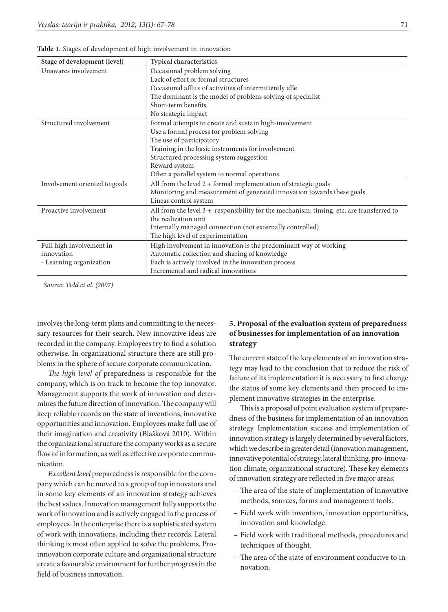| Stage of development (level)  | Typical characteristics                                                                    |
|-------------------------------|--------------------------------------------------------------------------------------------|
| Unawares involvement          | Occasional problem solving                                                                 |
|                               | Lack of effort or formal structures                                                        |
|                               | Occasional afflux of activities of intermittently idle                                     |
|                               | The dominant is the model of problem-solving of specialist                                 |
|                               | Short-term benefits                                                                        |
|                               | No strategic impact                                                                        |
| Structured involvement        | Formal attempts to create and sustain high-involvement                                     |
|                               | Use a formal process for problem solving                                                   |
|                               | The use of participatory                                                                   |
|                               | Training in the basic instruments for involvement                                          |
|                               | Structured processing system suggestion                                                    |
|                               | Reward system                                                                              |
|                               | Often a parallel system to normal operations                                               |
| Involvement oriented to goals | All from the level $2 +$ formal implementation of strategic goals                          |
|                               | Monitoring and measurement of generated innovation towards these goals                     |
|                               | Linear control system                                                                      |
| Proactive involvement         | All from the level $3 +$ responsibility for the mechanism, timing, etc. are transferred to |
|                               | the realization unit                                                                       |
|                               | Internally managed connection (not externally controlled)                                  |
|                               | The high level of experimentation                                                          |
| Full high involvement in      | High involvement in innovation is the predominant way of working                           |
| innovation                    | Automatic collection and sharing of knowledge                                              |
| - Learning organization       | Each is actively involved in the innovation process                                        |
|                               | Incremental and radical innovations                                                        |

**Table 1.** Stages of development of high involvement in innovation

*Source: Tidd et al. (2007)*

involves the long-term plans and committing to the necessary resources for their search. New innovative ideas are recorded in the company. Employees try to find a solution otherwise. In organizational structure there are still problems in the sphere of secure corporate communication.

*The high level of* preparedness is responsible for the company, which is on track to become the top innovator. Management supports the work of innovation and determines the future direction of innovation. The company will keep reliable records on the state of inventions, innovative opportunities and innovation. Employees make full use of their imagination and creativity (Blašková 2010). Within the organizational structure the company works as a secure flow of information, as well as effective corporate communication.

*Excellent level* preparedness is responsible for the company which can be moved to a group of top innovators and in some key elements of an innovation strategy achieves the best values. Innovation management fully supports the work of innovation and is actively engaged in the process of employees. In the enterprise there is a sophisticated system of work with innovations, including their records. Lateral thinking is most often applied to solve the problems. Proinnovation corporate culture and organizational structure create a favourable environment for further progress in the field of business innovation.

## **5. Proposal of the evaluation system of preparedness of businesses for implementation of an innovation strategy**

The current state of the key elements of an innovation strategy may lead to the conclusion that to reduce the risk of failure of its implementation it is necessary to first change the status of some key elements and then proceed to implement innovative strategies in the enterprise.

This is a proposal of point evaluation system of preparedness of the business for implementation of an innovation strategy. Implementation success and implementation of innovation strategy is largely determined by several factors, which we describe in greater detail (innovation management, innovative potential of strategy, lateral thinking, pro-innovation climate, organizational structure). These key elements of innovation strategy are reflected in five major areas:

- The area of the state of implementation of innovative methods, sources, forms and management tools.
- Field work with invention, innovation opportunities, innovation and knowledge.
- Field work with traditional methods, procedures and techniques of thought.
- The area of the state of environment conducive to innovation.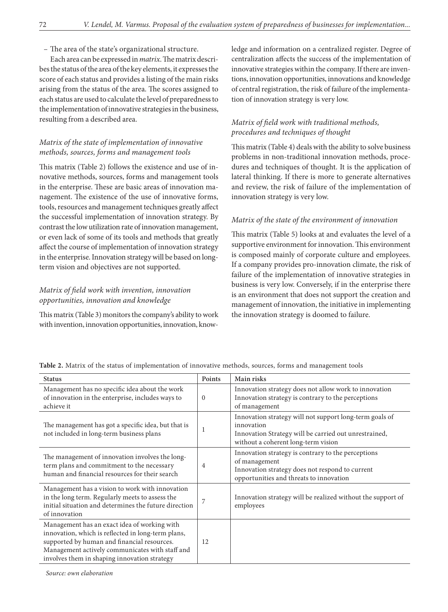– The area of the state's organizational structure.

Each area can be expressed in *matrix*. The matrix describes the status of the area of the key elements, it expresses the score of each status and provides a listing of the main risks arising from the status of the area. The scores assigned to each status are used to calculate the level of preparedness to the implementation of innovative strategies in the business, resulting from a described area.

## *Matrix of the state of implementation of innovative methods, sources, forms and management tools*

This matrix (Table 2) follows the existence and use of innovative methods, sources, forms and management tools in the enterprise. These are basic areas of innovation management. The existence of the use of innovative forms, tools, resources and management techniques greatly affect the successful implementation of innovation strategy. By contrast the low utilization rate of innovation management, or even lack of some of its tools and methods that greatly affect the course of implementation of innovation strategy in the enterprise. Innovation strategy will be based on longterm vision and objectives are not supported.

## *Matrix of field work with invention, innovation opportunities, innovation and knowledge*

This matrix (Table 3) monitors the company's ability to work with invention, innovation opportunities, innovation, knowledge and information on a centralized register. Degree of centralization affects the success of the implementation of innovative strategies within the company. If there are inventions, innovation opportunities, innovations and knowledge of central registration, the risk of failure of the implementation of innovation strategy is very low.

## *Matrix of field work with traditional methods, procedures and techniques of thought*

This matrix (Table 4) deals with the ability to solve business problems in non-traditional innovation methods, procedures and techniques of thought. It is the application of lateral thinking. If there is more to generate alternatives and review, the risk of failure of the implementation of innovation strategy is very low.

### *Matrix of the state of the environment of innovation*

This matrix (Table 5) looks at and evaluates the level of a supportive environment for innovation. This environment is composed mainly of corporate culture and employees. If a company provides pro-innovation climate, the risk of failure of the implementation of innovative strategies in business is very low. Conversely, if in the enterprise there is an environment that does not support the creation and management of innovation, the initiative in implementing the innovation strategy is doomed to failure.

| <b>Status</b>                                                                                                                                                                                                                                        | Points   | Main risks                                                                                                                                                            |
|------------------------------------------------------------------------------------------------------------------------------------------------------------------------------------------------------------------------------------------------------|----------|-----------------------------------------------------------------------------------------------------------------------------------------------------------------------|
| Management has no specific idea about the work<br>of innovation in the enterprise, includes ways to<br>achieve it                                                                                                                                    | $\Omega$ | Innovation strategy does not allow work to innovation<br>Innovation strategy is contrary to the perceptions<br>of management                                          |
| The management has got a specific idea, but that is<br>not included in long-term business plans                                                                                                                                                      | 1        | Innovation strategy will not support long-term goals of<br>innovation<br>Innovation Strategy will be carried out unrestrained,<br>without a coherent long-term vision |
| The management of innovation involves the long-<br>term plans and commitment to the necessary<br>human and financial resources for their search                                                                                                      | 4        | Innovation strategy is contrary to the perceptions<br>of management<br>Innovation strategy does not respond to current<br>opportunities and threats to innovation     |
| Management has a vision to work with innovation<br>in the long term. Regularly meets to assess the<br>initial situation and determines the future direction<br>of innovation                                                                         | 7        | Innovation strategy will be realized without the support of<br>employees                                                                                              |
| Management has an exact idea of working with<br>innovation, which is reflected in long-term plans,<br>supported by human and financial resources.<br>Management actively communicates with staff and<br>involves them in shaping innovation strategy | 12       |                                                                                                                                                                       |

**Table 2.** Matrix of the status of implementation of innovative methods, sources, forms and management tools

*Source: own elaboration*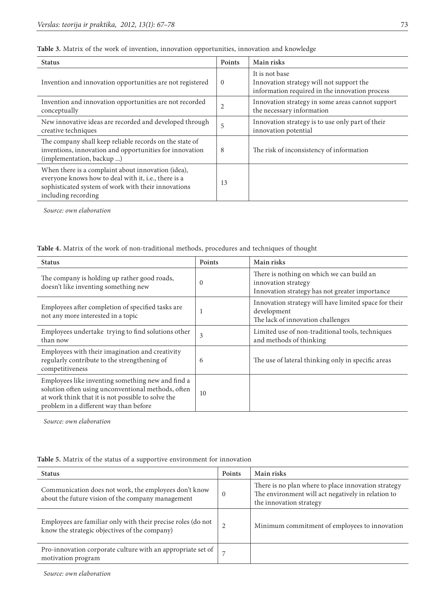| <b>Status</b>                                                                                                                                                                            | Points   | Main risks                                                                                                   |
|------------------------------------------------------------------------------------------------------------------------------------------------------------------------------------------|----------|--------------------------------------------------------------------------------------------------------------|
| Invention and innovation opportunities are not registered                                                                                                                                | $\Omega$ | It is not base<br>Innovation strategy will not support the<br>information required in the innovation process |
| Invention and innovation opportunities are not recorded<br>conceptually                                                                                                                  | 2        | Innovation strategy in some areas cannot support<br>the necessary information                                |
| New innovative ideas are recorded and developed through<br>creative techniques                                                                                                           | 5        | Innovation strategy is to use only part of their<br>innovation potential                                     |
| The company shall keep reliable records on the state of<br>inventions, innovation and opportunities for innovation<br>(implementation, backup )                                          | 8        | The risk of inconsistency of information                                                                     |
| When there is a complaint about innovation (idea),<br>everyone knows how to deal with it, i.e., there is a<br>sophisticated system of work with their innovations<br>including recording | 13       |                                                                                                              |

**Table 3.** Matrix of the work of invention, innovation opportunities, innovation and knowledge

*Source: own elaboration*

**Table 4.** Matrix of the work of non-traditional methods, procedures and techniques of thought

| <b>Status</b>                                                                                                                                                                                           | Points   | Main risks                                                                                                         |  |
|---------------------------------------------------------------------------------------------------------------------------------------------------------------------------------------------------------|----------|--------------------------------------------------------------------------------------------------------------------|--|
| The company is holding up rather good roads,<br>doesn't like inventing something new                                                                                                                    | $\Omega$ | There is nothing on which we can build an<br>innovation strategy<br>Innovation strategy has not greater importance |  |
| Employees after completion of specified tasks are<br>not any more interested in a topic                                                                                                                 |          | Innovation strategy will have limited space for their<br>development<br>The lack of innovation challenges          |  |
| Employees undertake trying to find solutions other<br>than now                                                                                                                                          | 3        | Limited use of non-traditional tools, techniques<br>and methods of thinking                                        |  |
| Employees with their imagination and creativity<br>regularly contribute to the strengthening of<br>competitiveness                                                                                      | 6        | The use of lateral thinking only in specific areas                                                                 |  |
| Employees like inventing something new and find a<br>solution often using unconventional methods, often<br>at work think that it is not possible to solve the<br>problem in a different way than before | 10       |                                                                                                                    |  |

*Source: own elaboration*

| Table 5. Matrix of the status of a supportive environment for innovation |  |
|--------------------------------------------------------------------------|--|
|--------------------------------------------------------------------------|--|

| <b>Status</b>                                                                                                 | <b>Points</b>  | Main risks                                                                                                                           |
|---------------------------------------------------------------------------------------------------------------|----------------|--------------------------------------------------------------------------------------------------------------------------------------|
| Communication does not work, the employees don't know<br>about the future vision of the company management    | $\Omega$       | There is no plan where to place innovation strategy<br>The environment will act negatively in relation to<br>the innovation strategy |
| Employees are familiar only with their precise roles (do not<br>know the strategic objectives of the company) | $\overline{2}$ | Minimum commitment of employees to innovation                                                                                        |
| Pro-innovation corporate culture with an appropriate set of<br>motivation program                             |                |                                                                                                                                      |

*Source: own elaboration*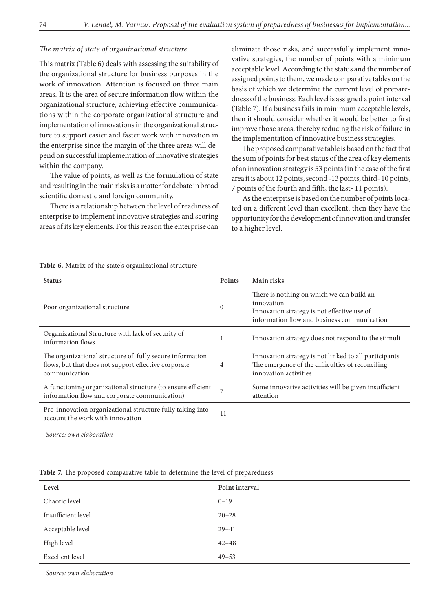### *The matrix of state of organizational structure*

This matrix (Table 6) deals with assessing the suitability of the organizational structure for business purposes in the work of innovation. Attention is focused on three main areas. It is the area of secure information flow within the organizational structure, achieving effective communications within the corporate organizational structure and implementation of innovations in the organizational structure to support easier and faster work with innovation in the enterprise since the margin of the three areas will depend on successful implementation of innovative strategies within the company.

The value of points, as well as the formulation of state and resulting in the main risks is a matter for debate in broad scientific domestic and foreign community.

There is a relationship between the level of readiness of enterprise to implement innovative strategies and scoring areas of its key elements. For this reason the enterprise can eliminate those risks, and successfully implement innovative strategies, the number of points with a minimum acceptable level. According to the status and the number of assigned points to them, we made comparative tables on the basis of which we determine the current level of preparedness of the business. Each level is assigned a point interval (Table 7). If a business fails in minimum acceptable levels, then it should consider whether it would be better to first improve those areas, thereby reducing the risk of failure in the implementation of innovative business strategies.

The proposed comparative table is based on the fact that the sum of points for best status of the area of key elements of an innovation strategy is 53 points (in the case of the first area it is about 12 points, second -13 points, third- 10 points, 7 points of the fourth and fifth, the last- 11 points).

As the enterprise is based on the number of points located on a different level than excellent, then they have the opportunity for the development of innovation and transfer to a higher level.

| <b>Status</b>                                                                                                                     | <b>Points</b> | Main risks                                                                                                                                            |
|-----------------------------------------------------------------------------------------------------------------------------------|---------------|-------------------------------------------------------------------------------------------------------------------------------------------------------|
| Poor organizational structure                                                                                                     | $\Omega$      | There is nothing on which we can build an<br>innovation<br>Innovation strategy is not effective use of<br>information flow and business communication |
| Organizational Structure with lack of security of<br>information flows                                                            | $\mathbf{I}$  | Innovation strategy does not respond to the stimuli                                                                                                   |
| The organizational structure of fully secure information<br>flows, but that does not support effective corporate<br>communication | 4             | Innovation strategy is not linked to all participants<br>The emergence of the difficulties of reconciling<br>innovation activities                    |
| A functioning organizational structure (to ensure efficient<br>information flow and corporate communication)                      | 7             | Some innovative activities will be given insufficient<br>attention                                                                                    |
| Pro-innovation organizational structure fully taking into<br>account the work with innovation                                     | 11            |                                                                                                                                                       |

**Table 6.** Matrix of the state's organizational structure

*Source: own elaboration*

|  |  |  |  |  |  | Table 7. The proposed comparative table to determine the level of preparedness |
|--|--|--|--|--|--|--------------------------------------------------------------------------------|
|--|--|--|--|--|--|--------------------------------------------------------------------------------|

| Level              | Point interval |
|--------------------|----------------|
| Chaotic level      | $0 - 19$       |
| Insufficient level | $20 - 28$      |
| Acceptable level   | $29 - 41$      |
| High level         | $42 - 48$      |
| Excellent level    | $49 - 53$      |

*Source: own elaboration*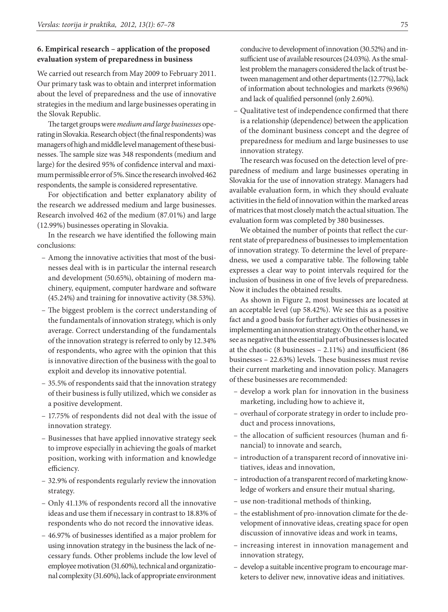### **6. Empirical research – application of the proposed evaluation system of preparedness in business**

We carried out research from May 2009 to February 2011. Our primary task was to obtain and interpret information about the level of preparedness and the use of innovative strategies in the medium and large businesses operating in the Slovak Republic.

The target groups were *medium and large businesses* operating in Slovakia. Research object (the final respondents) was managers of high and middle level management of these businesses. The sample size was 348 respondents (medium and large) for the desired 95% of confidence interval and maximum permissible error of 5%. Since the research involved 462 respondents, the sample is considered representative.

For objectification and better explanatory ability of the research we addressed medium and large businesses. Research involved 462 of the medium (87.01%) and large (12.99%) businesses operating in Slovakia.

In the research we have identified the following main conclusions:

- Among the innovative activities that most of the businesses deal with is in particular the internal research and development (50.65%), obtaining of modern machinery, equipment, computer hardware and software (45.24%) and training for innovative activity (38.53%).
- The biggest problem is the correct understanding of the fundamentals of innovation strategy, which is only average. Correct understanding of the fundamentals of the innovation strategy is referred to only by 12.34% of respondents, who agree with the opinion that this is innovative direction of the business with the goal to exploit and develop its innovative potential.
- 35.5% of respondents said that the innovation strategy of their business is fully utilized, which we consider as a positive development.
- 17.75% of respondents did not deal with the issue of innovation strategy.
- Businesses that have applied innovative strategy seek to improve especially in achieving the goals of market position, working with information and knowledge efficiency.
- 32.9% of respondents regularly review the innovation strategy.
- Only 41.13% of respondents record all the innovative ideas and use them if necessary in contrast to 18.83% of respondents who do not record the innovative ideas.
- 46.97% of businesses identified as a major problem for using innovation strategy in the business the lack of necessary funds. Other problems include the low level of employee motivation (31.60%), technical and organizational complexity (31.60%), lack of appropriate environment

conducive to development of innovation (30.52%) and insufficient use of available resources (24.03%). As the smallest problem the managers considered the lack of trust between management and other departments (12.77%), lack of information about technologies and markets (9.96%) and lack of qualified personnel (only 2.60%).

– Qualitative test of independence confirmed that there is a relationship (dependence) between the application of the dominant business concept and the degree of preparedness for medium and large businesses to use innovation strategy.

The research was focused on the detection level of preparedness of medium and large businesses operating in Slovakia for the use of innovation strategy. Managers had available evaluation form, in which they should evaluate activities in the field of innovation within the marked areas of matrices that most closely match the actual situation. The evaluation form was completed by 380 businesses.

We obtained the number of points that reflect the current state of preparedness of businesses to implementation of innovation strategy. To determine the level of preparedness, we used a comparative table. The following table expresses a clear way to point intervals required for the inclusion of business in one of five levels of preparedness. Now it includes the obtained results.

As shown in Figure 2, most businesses are located at an acceptable level (up 58.42%). We see this as a positive fact and a good basis for further activities of businesses in implementing an innovation strategy. On the other hand, we see as negative that the essential part of businesses is located at the chaotic (8 businesses – 2.11%) and insufficient (86 businesses – 22.63%) levels. These businesses must revise their current marketing and innovation policy. Managers of these businesses are recommended:

- develop a work plan for innovation in the business marketing, including how to achieve it,
- overhaul of corporate strategy in order to include product and process innovations,
- the allocation of sufficient resources (human and financial) to innovate and search,
- introduction of a transparent record of innovative initiatives, ideas and innovation,
- introduction of a transparent record of marketing knowledge of workers and ensure their mutual sharing,
- use non-traditional methods of thinking,
- the establishment of pro-innovation climate for the development of innovative ideas, creating space for open discussion of innovative ideas and work in teams,
- increasing interest in innovation management and innovation strategy,
- develop a suitable incentive program to encourage marketers to deliver new, innovative ideas and initiatives.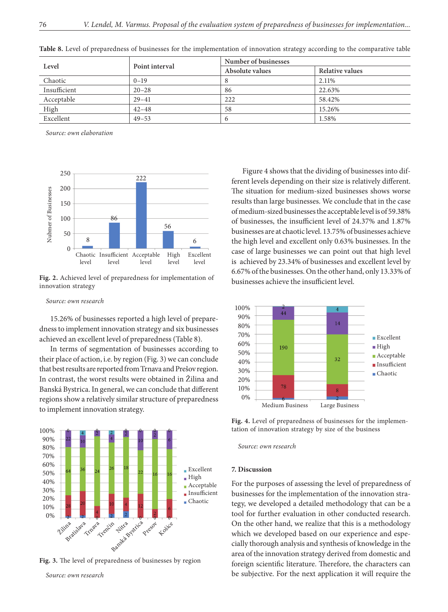| Level        | Point interval | Number of businesses |                 |  |
|--------------|----------------|----------------------|-----------------|--|
|              |                | Absolute values      | Relative values |  |
| Chaotic      | $0 - 19$       |                      | 2.11%           |  |
| Insufficient | $20 - 28$      | 86                   | 22.63%          |  |
| Acceptable   | $29 - 41$      | 222                  | 58.42%          |  |
| High         | $42 - 48$      | 58                   | 15.26%          |  |
| Excellent    | $49 - 53$      |                      | 1.58%           |  |

**Table 8.** Level of preparedness of businesses for the implementation of innovation strategy according to the comparative table

*Source: own elaboration*



**Fig. 2.** Achieved level of preparedness for implementation of innovation strategy

#### *Source: own research*

15.26% of businesses reported a high level of preparedness to implement innovation strategy and six businesses achieved an excellent level of preparedness (Table 8).

In terms of segmentation of businesses according to their place of action, i.e. by region (Fig. 3) we can conclude that best results are reported from Trnava and Prešov region. In contrast, the worst results were obtained in Žilina and Banská Bystrica. In general, we can conclude that different regions show a relatively similar structure of preparedness to implement innovation strategy.



**Fig. 3.** The level of preparedness of businesses by region

*Source: own research*

Figure 4 shows that the dividing of businesses into different levels depending on their size is relatively different. The situation for medium-sized businesses shows worse results than large businesses. We conclude that in the case of medium-sized businesses the acceptable level is of 59.38% of businesses, the insufficient level of 24.37% and 1.87% businesses are at chaotic level. 13.75% of businesses achieve the high level and excellent only 0.63% businesses. In the case of large businesses we can point out that high level is achieved by 23.34% of businesses and excellent level by 6.67% of the businesses. On the other hand, only 13.33% of businesses achieve the insufficient level.



Fig. 4. Level of preparedness of businesses for the implementation of innovation strategy by size of the business

*Source: own research*

#### **7. Discussion**

For the purposes of assessing the level of preparedness of businesses for the implementation of the innovation strategy, we developed a detailed methodology that can be a tool for further evaluation in other conducted research. On the other hand, we realize that this is a methodology which we developed based on our experience and especially thorough analysis and synthesis of knowledge in the area of the innovation strategy derived from domestic and foreign scientific literature. Therefore, the characters can be subjective. For the next application it will require the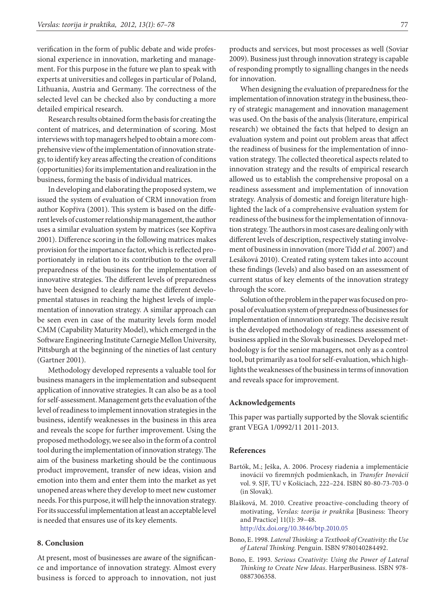verification in the form of public debate and wide professional experience in innovation, marketing and management. For this purpose in the future we plan to speak with experts at universities and colleges in particular of Poland, Lithuania, Austria and Germany. The correctness of the selected level can be checked also by conducting a more detailed empirical research.

Research results obtained form the basis for creating the content of matrices, and determination of scoring. Most interviews with top managers helped to obtain a more comprehensive view of the implementation of innovation strategy, to identify key areas affecting the creation of conditions (opportunities) for its implementation and realization in the business, forming the basis of individual matrices.

In developing and elaborating the proposed system, we issued the system of evaluation of CRM innovation from author Kopřiva (2001). This system is based on the different levels of customer relationship management, the author uses a similar evaluation system by matrices (see Kopřiva 2001). Difference scoring in the following matrices makes provision for the importance factor, which is reflected proportionately in relation to its contribution to the overall preparedness of the business for the implementation of innovative strategies. The different levels of preparedness have been designed to clearly name the different developmental statuses in reaching the highest levels of implementation of innovation strategy. A similar approach can be seen even in case of the maturity levels form model CMM (Capability Maturity Model), which emerged in the Software Engineering Institute Carnegie Mellon University, Pittsburgh at the beginning of the nineties of last century (Gartner 2001).

Methodology developed represents a valuable tool for business managers in the implementation and subsequent application of innovative strategies. It can also be as a tool for self-assessment. Management gets the evaluation of the level of readiness to implement innovation strategies in the business, identify weaknesses in the business in this area and reveals the scope for further improvement. Using the proposed methodology, we see also in the form of a control tool during the implementation of innovation strategy. The aim of the business marketing should be the continuous product improvement, transfer of new ideas, vision and emotion into them and enter them into the market as yet unopened areas where they develop to meet new customer needs. For this purpose, it will help the innovation strategy. For its successful implementation at least an acceptable level is needed that ensures use of its key elements.

### **8. Conclusion**

At present, most of businesses are aware of the significance and importance of innovation strategy. Almost every business is forced to approach to innovation, not just products and services, but most processes as well (Soviar 2009). Business just through innovation strategy is capable of responding promptly to signalling changes in the needs for innovation.

When designing the evaluation of preparedness for the implementation of innovation strategy in the business, theory of strategic management and innovation management was used. On the basis of the analysis (literature, empirical research) we obtained the facts that helped to design an evaluation system and point out problem areas that affect the readiness of business for the implementation of innovation strategy. The collected theoretical aspects related to innovation strategy and the results of empirical research allowed us to establish the comprehensive proposal on a readiness assessment and implementation of innovation strategy. Analysis of domestic and foreign literature highlighted the lack of a comprehensive evaluation system for readiness of the business for the implementation of innovation strategy. The authors in most cases are dealing only with different levels of description, respectively stating involvement of business in innovation (more Tidd *et al.* 2007) and Lesáková 2010). Created rating system takes into account these findings (levels) and also based on an assessment of current status of key elements of the innovation strategy through the score.

Solution of the problem in the paper was focused on proposal of evaluation system of preparedness of businesses for implementation of innovation strategy. The decisive result is the developed methodology of readiness assessment of business applied in the Slovak businesses. Developed methodology is for the senior managers, not only as a control tool, but primarily as a tool for self-evaluation, which highlights the weaknesses of the business in terms of innovation and reveals space for improvement.

#### **Acknowledgements**

This paper was partially supported by the Slovak scientific grant VEGA 1/0992/11 2011-2013.

#### **References**

- Bartók, M.; Ješka, A. 2006. Procesy riadenia a implementácie inovácií vo firemných podmienkach, in *Transfer Inovácií* vol. 9. SJF, TU v Košiciach, 222–224. ISBN 80-80-73-703-0 (in Slovak).
- Blašková, M. 2010. Creative proactive-concluding theory of motivating, *Verslas: teorija ir praktika* **[**Business: Theory and Practice] 11(1): 39–48. <http://dx.doi.org/10.3846/btp.2010.05>
- Bono, E. 1998. *Lateral Thinking: a Textbook of Creativity: the Use of Lateral Thinking*. Penguin. ISBN 9780140284492.
- Bono, E. 1993. *Serious Creativity: Using the Power of Lateral Thinking to Create New Ideas*. HarperBusiness. ISBN 978- 0887306358.